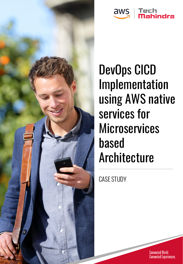



DevOps CICD Implementation using AWS native services for **Microservices** based Architecture

CASE STUDY.

Connected World.<br>Connected Experiences.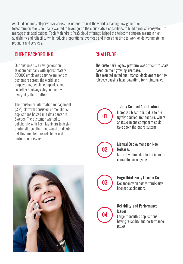As cloud becomes all-pervasive across businesses around the world, a leading new generation telecommunications company wanted to leverage on the cloud-native capabilities to build a robust ecosystem to manage their applications. Tech Mahindra's PaaS cloud offerings helped the telecom company maintain high availability and reliability while reducing operational overhead and increasing time to work on delivering stellar products and services.

## CLIENT BACKGROUND

Our customer is a new generation telecom company with approximately 20000 employees, serving millions of customers across the world, and empowering people, companies, and societies to always stay in touch with everything that matters.

Their customer information management (CIM) platform consisted of monolithic applications hosted in a data center in Sweden. The customer wanted to collaborate with Tech Mahindra to design a futuristic solution that would eradicate existing architecture reliability and performance issues.

# **CHALLENGE**

The customer's legacy platform was difficult to scale based on their growing userbase. This resulted in tedious manual deployment for new releases causing huge downtime for maintenance.



#### Tightly Coupled Architecture

Increased blast radius due to the tightly coupled architecture, where an issue in one component could take down the entire system



#### Manual Deployment for New Releases

More downtime due to the increase in maintenance cycles



## Huge Third-Party License Costs Dependency on costly, third-party licensed applications



#### Reliability and Performance Issues

Large monolithic applications having reliability and performance issues

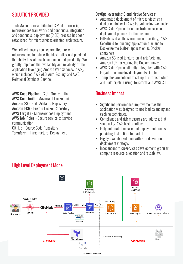## SOLUTION PROVIDED

Tech Mahindra re-architected CIM platform using microservices framework and continuous integration and continuous deployment (CICD) process has been established for microservices oriented architecture.

We defined loosely coupled architecture with microservices to reduce the blast radius and provided the ability to scale each component independently. We greatly improved the availability and reliability of the application leveraging Amazon Web Services (AWS), which included AWS ALB, Auto Scaling, and AWS Relational Database Service.

AWS Code Pipeline - CICD Orchestration AWS Code build - Maven and Docker build Amazon S3 - Build Artifacts Repository Amazon ECR - Private Docker Repository AWS Fargate - Microservices Deployment AWS IAM Roles - Secure service to service communication GitHub - Source Code Repository

Terraform - Infrastructure Deployment

## DevOps leveraging Cloud Native Services:

- Automated deployment of microservices as a docker container in AWS Fargate using webhooks.
- **EXECT AWS Code Pipeline to orchestrate release and** deployment process for the customer.
- **EXECTED EXECTED SIGNAL EXECTED** Source code repository, AWS CodeBuild for building application files and to Dockerize the built-in application as Docker containers
- Amazon S3 used to store build artefacts and Amazon ECR for storing the Docker images.
- **EXECT** AWS Code Pipeline directly integrates with AWS Fargate thus making deployments simpler.
- **EXEC** Templates are defined to set up the infrastructure and build pipeline using Terraform and AWS CLI

# Business Impact

- **EXECUTE:** Significant performance improvement as the application was designed to use load balancing and caching techniques.
- Compliance and risk measures are addressed at scale using AWS best practices.
- **E** Fully automated release and deployment process providing faster time to market.
- **EXECT** Highly available solution with zero downtime deployment strategy.
- **EXECTE:** Independent microservices development, granular compute resource allocation and reusability.



# High Level Deployment Model